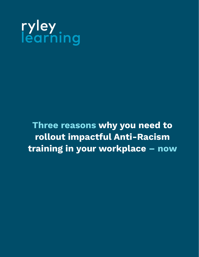

**Three reasons why you need to rollout impactful Anti-Racism training in your workplace – now**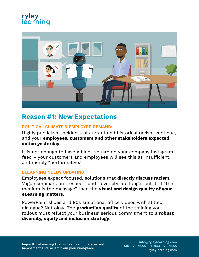## ryley léarnina



#### **Reason #1: New Expectations Three reasons were reasons when**  $\mathbf{r}$  is reason in the reason in the reason in the reason in the real parties of  $\mathbf{r}$  in the real parties of  $\mathbf{r}$  is a set of  $\mathbf{r}$  in the real parties of  $\mathbf{r}$  is a set o

### **POLITICAL CLIMATE & EMPLOYEE DEMAND:**

Highly publicized incidents of current and historical racism continue, and your **employees, customers and other stakeholders expected action yesterday**.

It is not enough to have a black square on your company Instagram feed – your customers and employees will see this as insufficient, and merely "performative."

#### **ELEARNING NEEDS UPDATING:**

Employees expect focused, solutions that **directly discuss racism**. Vague seminars on "respect" and "diversity" no longer cut it. If "the medium is the message" then the **visual and design quality of your eLearning matters**.

PowerPoint slides and 90s situational office videos with stilted dialogue? Not okay! The **production quality** of the training you rollout must reflect your business' serious commitment to a **robust diversity, equity and inclusion strategy**.

**Impactful eLearning that works to eliminate sexual harassment and racism from your workplace.**

**info@ryleylearning.com 416-929-9555 +1-844-929-9555** ryleylearning.com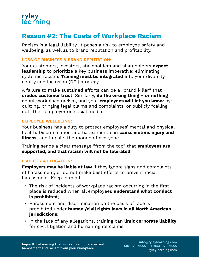

## **Reason #2: The Costs of Workplace Racism**

Racism is a legal liability. It poses a risk to employee safety and wellbeing, as well as to brand reputation and profitability.

#### **LOSS OF BUSINESS & BRAND REPUTATION:**

Your customers, investors, stakeholders and shareholders **expect leadership** to prioritize a key business imperative: eliminating systemic racism. **Training must be integrated** into your diversity, equity and inclusion (DEI) strategy.

A failure to make sustained efforts can be a "brand killer" that **erodes customer trust**. Similarly, **do the wrong thing – or nothing** – about workplace racism, and your **employees will let you know** by: quitting, bringing legal claims and complaints, or publicly "calling out" their employer on social media.

#### **EMPLOYEE WELLBEING:**

Your business has a duty to protect employees' mental and physical health. Discrimination and harassment can **cause victims injury and illness**, and impairs the morale of everyone.

Training sends a clear message "from the top" that **employees are supported, and that racism will not be tolerated**.

#### **LIABILITY & LITIGATION:**

**Employers may be liable at law** if they ignore signs and complaints of harassment, or do not make best efforts to prevent racial harassment. Keep in mind:

- The risk of incidents of workplace racism occurring in the first place is reduced when all employees **understand what conduct is prohibited**;
- Harassment and discrimination on the basis of race is prohibited under **human /civil rights laws in all North American jurisdictions**;
- In the face of any allegations, training can **limit corporate liability** for civil litigation and human rights claims.